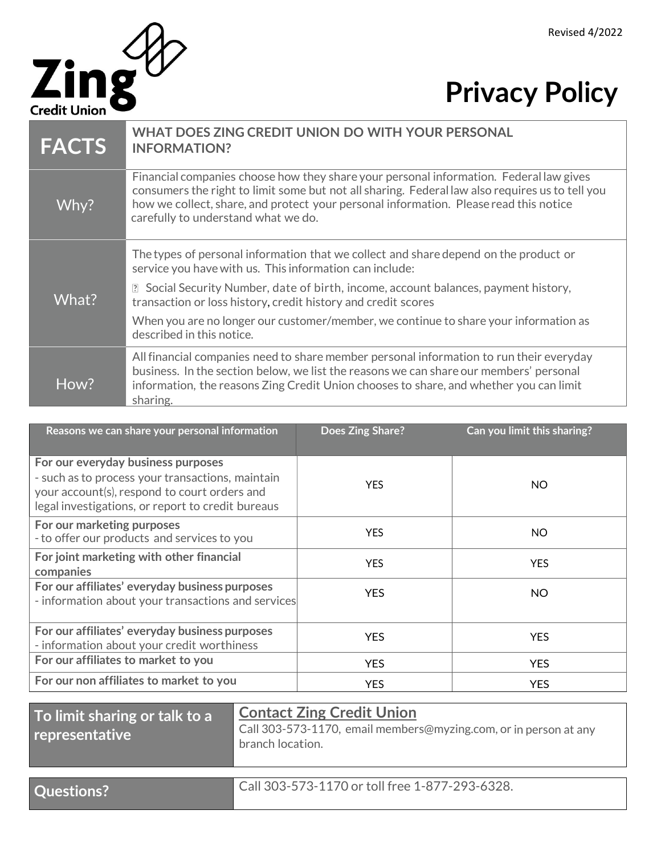

## **Privacy Policy**

| <b>FACTS</b> | WHAT DOES ZING CREDIT UNION DO WITH YOUR PERSONAL<br><b>INFORMATION?</b>                                                                                                                                                                                                                                                  |
|--------------|---------------------------------------------------------------------------------------------------------------------------------------------------------------------------------------------------------------------------------------------------------------------------------------------------------------------------|
| Why?         | Financial companies choose how they share your personal information. Federal law gives<br>consumers the right to limit some but not all sharing. Federal law also requires us to tell you<br>how we collect, share, and protect your personal information. Please read this notice<br>carefully to understand what we do. |
|              | The types of personal information that we collect and share depend on the product or<br>service you have with us. This information can include:                                                                                                                                                                           |
| What?        | Social Security Number, date of birth, income, account balances, payment history,<br>$\overline{?}$<br>transaction or loss history, credit history and credit scores                                                                                                                                                      |
|              | When you are no longer our customer/member, we continue to share your information as<br>described in this notice.                                                                                                                                                                                                         |
| How?         | All financial companies need to share member personal information to run their everyday<br>business. In the section below, we list the reasons we can share our members' personal<br>information, the reasons Zing Credit Union chooses to share, and whether you can limit<br>sharing.                                   |

| Reasons we can share your personal information                                                                                                                                              | Does Zing Share? | Can you limit this sharing? |
|---------------------------------------------------------------------------------------------------------------------------------------------------------------------------------------------|------------------|-----------------------------|
| For our everyday business purposes<br>- such as to process your transactions, maintain<br>your account(s), respond to court orders and<br>legal investigations, or report to credit bureaus | <b>YES</b>       | NO.                         |
| For our marketing purposes<br>- to offer our products and services to you                                                                                                                   | <b>YES</b>       | NO.                         |
| For joint marketing with other financial<br>companies                                                                                                                                       | <b>YES</b>       | <b>YES</b>                  |
| For our affiliates' everyday business purposes<br>- information about your transactions and services                                                                                        | <b>YFS</b>       | <b>NO</b>                   |
| For our affiliates' everyday business purposes<br>- information about your credit worthiness                                                                                                | YFS.             | <b>YFS</b>                  |
| For our affiliates to market to you                                                                                                                                                         | <b>YES</b>       | <b>YES</b>                  |
| For our non affiliates to market to you                                                                                                                                                     | <b>YES</b>       | <b>YES</b>                  |

**To limit sharing or talk to a representative Contact Zing Credit Union** Call 303-573-1170, email members@myzing.com, or in person at any branch location.

**Questions?** Call 303-573-1170 or toll free 1-877-293-6328.